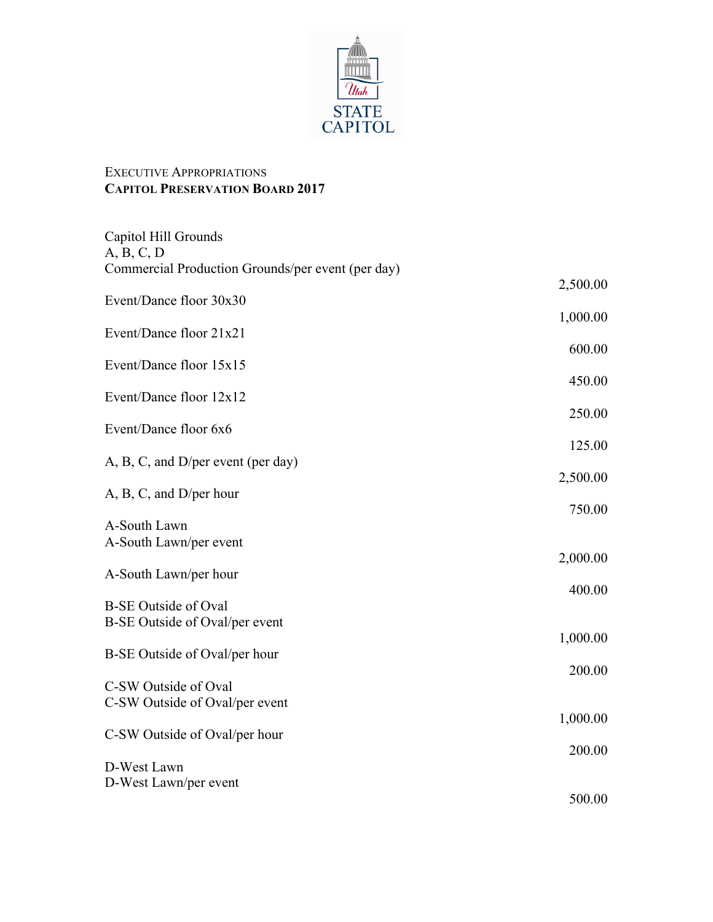

## EXECUTIVE APPROPRIATIONS **CAPITOL PRESERVATION BOARD 2017**

| Capitol Hill Grounds<br>A, B, C, D                |          |
|---------------------------------------------------|----------|
| Commercial Production Grounds/per event (per day) |          |
| Event/Dance floor 30x30                           | 2,500.00 |
|                                                   | 1,000.00 |
| Event/Dance floor 21x21                           | 600.00   |
| Event/Dance floor 15x15                           |          |
| Event/Dance floor 12x12                           | 450.00   |
| Event/Dance floor 6x6                             | 250.00   |
|                                                   | 125.00   |
| A, B, C, and D/per event (per day)                | 2,500.00 |
| A, B, C, and D/per hour                           | 750.00   |
| A-South Lawn                                      |          |
| A-South Lawn/per event                            | 2,000.00 |
| A-South Lawn/per hour                             |          |
| <b>B-SE Outside of Oval</b>                       | 400.00   |
| B-SE Outside of Oval/per event                    |          |
| B-SE Outside of Oval/per hour                     | 1,000.00 |
| C-SW Outside of Oval                              | 200.00   |
| C-SW Outside of Oval/per event                    |          |
| C-SW Outside of Oval/per hour                     | 1,000.00 |
|                                                   | 200.00   |
| D-West Lawn<br>D-West Lawn/per event              |          |
|                                                   | 500.00   |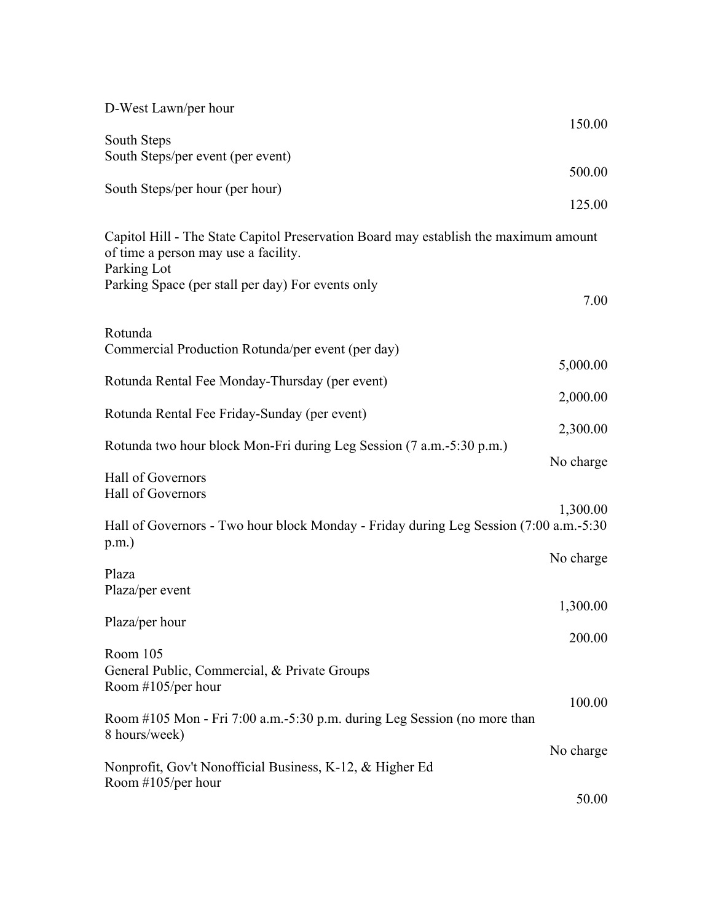| D-West Lawn/per hour                                                                                                         |           |
|------------------------------------------------------------------------------------------------------------------------------|-----------|
|                                                                                                                              | 150.00    |
| South Steps                                                                                                                  |           |
| South Steps/per event (per event)                                                                                            | 500.00    |
| South Steps/per hour (per hour)                                                                                              |           |
|                                                                                                                              | 125.00    |
| Capitol Hill - The State Capitol Preservation Board may establish the maximum amount<br>of time a person may use a facility. |           |
| Parking Lot<br>Parking Space (per stall per day) For events only                                                             | 7.00      |
| Rotunda                                                                                                                      |           |
| Commercial Production Rotunda/per event (per day)                                                                            |           |
|                                                                                                                              | 5,000.00  |
| Rotunda Rental Fee Monday-Thursday (per event)                                                                               | 2,000.00  |
| Rotunda Rental Fee Friday-Sunday (per event)                                                                                 |           |
|                                                                                                                              | 2,300.00  |
| Rotunda two hour block Mon-Fri during Leg Session (7 a.m.-5:30 p.m.)                                                         |           |
| Hall of Governors<br>Hall of Governors                                                                                       | No charge |
|                                                                                                                              | 1,300.00  |
| Hall of Governors - Two hour block Monday - Friday during Leg Session (7:00 a.m.-5:30)<br>$p.m.$ )                           |           |
|                                                                                                                              | No charge |
| Plaza<br>Plaza/per event                                                                                                     |           |
|                                                                                                                              | 1,300.00  |
| Plaza/per hour                                                                                                               |           |
|                                                                                                                              | 200.00    |
| Room 105<br>General Public, Commercial, & Private Groups<br>Room $\#105$ /per hour                                           |           |
|                                                                                                                              | 100.00    |
| Room #105 Mon - Fri 7:00 a.m. -5:30 p.m. during Leg Session (no more than<br>8 hours/week)                                   |           |
|                                                                                                                              | No charge |
| Nonprofit, Gov't Nonofficial Business, K-12, & Higher Ed                                                                     |           |
|                                                                                                                              |           |
| Room $#105/per$ hour                                                                                                         | 50.00     |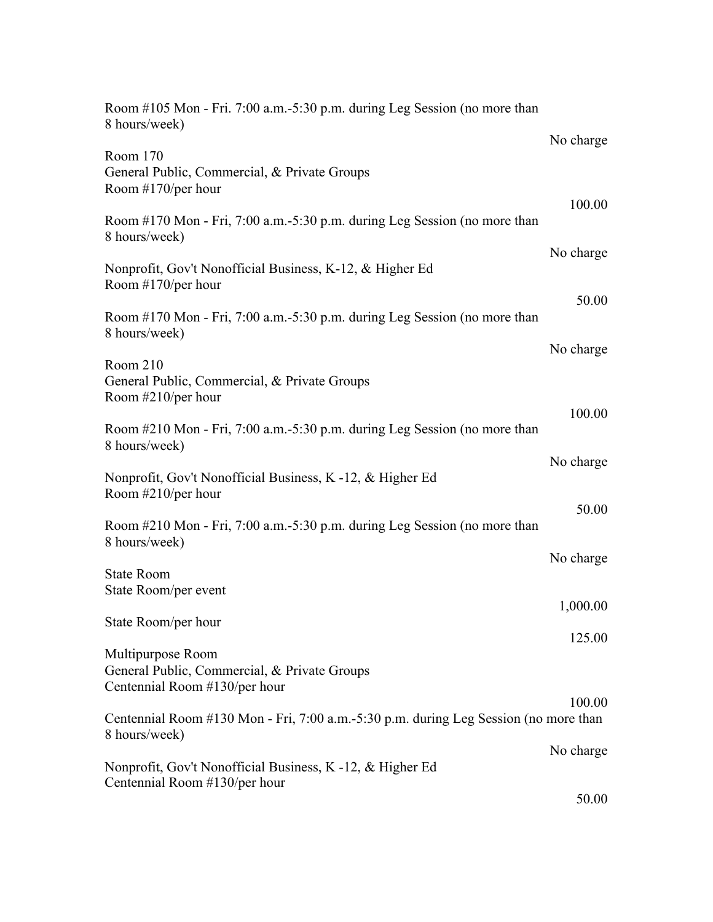| Room #105 Mon - Fri. 7:00 a.m. -5:30 p.m. during Leg Session (no more than<br>8 hours/week)            |           |
|--------------------------------------------------------------------------------------------------------|-----------|
|                                                                                                        | No charge |
| Room 170<br>General Public, Commercial, & Private Groups<br>Room #170/per hour                         |           |
| Room #170 Mon - Fri, 7:00 a.m. -5:30 p.m. during Leg Session (no more than<br>8 hours/week)            | 100.00    |
| Nonprofit, Gov't Nonofficial Business, K-12, & Higher Ed<br>Room $#170$ /per hour                      | No charge |
| Room #170 Mon - Fri, 7:00 a.m.-5:30 p.m. during Leg Session (no more than<br>8 hours/week)             | 50.00     |
|                                                                                                        | No charge |
| Room 210<br>General Public, Commercial, & Private Groups<br>Room #210/per hour                         |           |
| Room #210 Mon - Fri, 7:00 a.m.-5:30 p.m. during Leg Session (no more than<br>8 hours/week)             | 100.00    |
| Nonprofit, Gov't Nonofficial Business, K -12, & Higher Ed<br>Room $\#210$ /per hour                    | No charge |
| Room #210 Mon - Fri, 7:00 a.m. -5:30 p.m. during Leg Session (no more than<br>8 hours/week)            | 50.00     |
| <b>State Room</b>                                                                                      | No charge |
| State Room/per event                                                                                   | 1,000.00  |
| State Room/per hour                                                                                    | 125.00    |
| Multipurpose Room<br>General Public, Commercial, & Private Groups<br>Centennial Room #130/per hour     |           |
| Centennial Room #130 Mon - Fri, 7:00 a.m. -5:30 p.m. during Leg Session (no more than<br>8 hours/week) | 100.00    |
| Nonprofit, Gov't Nonofficial Business, K -12, & Higher Ed                                              | No charge |
| Centennial Room #130/per hour                                                                          | 50.00     |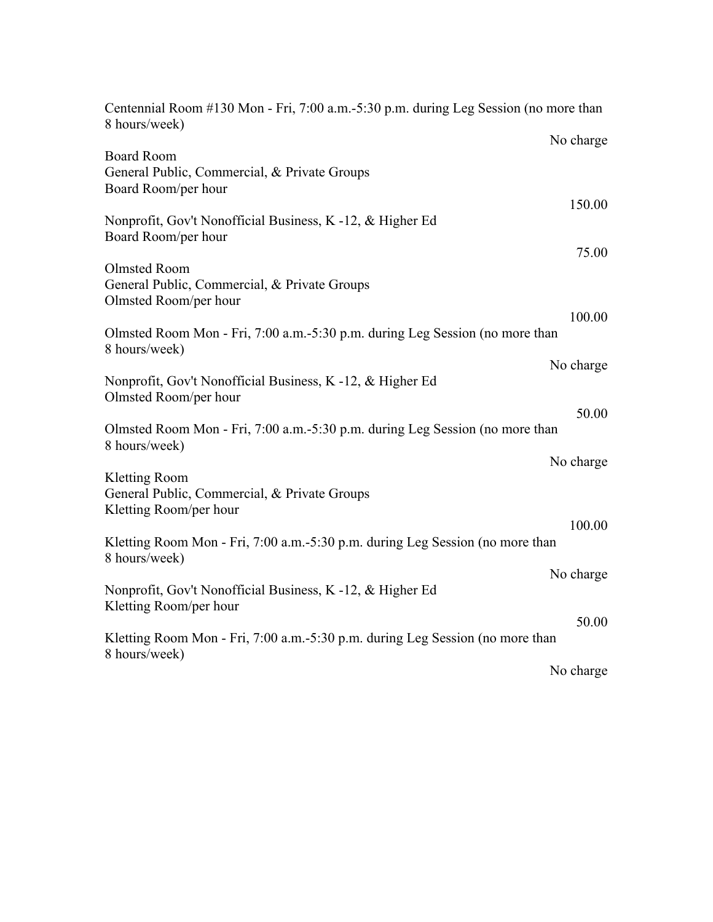| Centennial Room #130 Mon - Fri, 7:00 a.m.-5:30 p.m. during Leg Session (no more than<br>8 hours/week) |        |
|-------------------------------------------------------------------------------------------------------|--------|
| No charge                                                                                             |        |
| <b>Board Room</b><br>General Public, Commercial, & Private Groups                                     |        |
| Board Room/per hour<br>150.00                                                                         |        |
| Nonprofit, Gov't Nonofficial Business, K -12, & Higher Ed<br>Board Room/per hour                      | 75.00  |
| Olmsted Room<br>General Public, Commercial, & Private Groups                                          |        |
| Olmsted Room/per hour                                                                                 | 100.00 |
| Olmsted Room Mon - Fri, 7:00 a.m. -5:30 p.m. during Leg Session (no more than<br>8 hours/week)        |        |
| No charge<br>Nonprofit, Gov't Nonofficial Business, K -12, & Higher Ed                                |        |
| Olmsted Room/per hour                                                                                 | 50.00  |
| Olmsted Room Mon - Fri, 7:00 a.m. -5:30 p.m. during Leg Session (no more than<br>8 hours/week)        |        |
| No charge                                                                                             |        |
| <b>Kletting Room</b><br>General Public, Commercial, & Private Groups<br>Kletting Room/per hour        |        |
| 100.00<br>Kletting Room Mon - Fri, 7:00 a.m.-5:30 p.m. during Leg Session (no more than               |        |
| 8 hours/week)<br>No charge                                                                            |        |
| Nonprofit, Gov't Nonofficial Business, K -12, & Higher Ed<br>Kletting Room/per hour                   |        |
| Kletting Room Mon - Fri, 7:00 a.m. -5:30 p.m. during Leg Session (no more than<br>8 hours/week)       | 50.00  |
| No charge                                                                                             |        |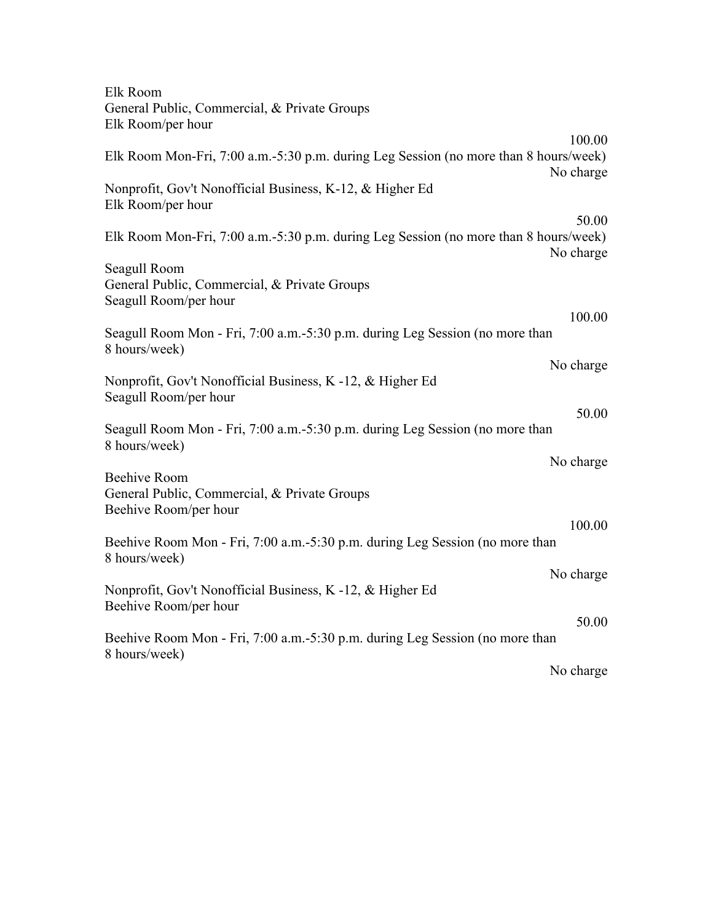| Elk Room                                                                                                   |  |
|------------------------------------------------------------------------------------------------------------|--|
| General Public, Commercial, & Private Groups<br>Elk Room/per hour                                          |  |
| 100.00                                                                                                     |  |
| Elk Room Mon-Fri, 7:00 a.m.-5:30 p.m. during Leg Session (no more than 8 hours/week)<br>No charge          |  |
| Nonprofit, Gov't Nonofficial Business, K-12, & Higher Ed<br>Elk Room/per hour                              |  |
| 50.00<br>Elk Room Mon-Fri, 7:00 a.m.-5:30 p.m. during Leg Session (no more than 8 hours/week)<br>No charge |  |
| Seagull Room                                                                                               |  |
| General Public, Commercial, & Private Groups<br>Seagull Room/per hour                                      |  |
| 100.00                                                                                                     |  |
| Seagull Room Mon - Fri, 7:00 a.m.-5:30 p.m. during Leg Session (no more than<br>8 hours/week)              |  |
| No charge                                                                                                  |  |
| Nonprofit, Gov't Nonofficial Business, K -12, & Higher Ed<br>Seagull Room/per hour                         |  |
| 50.00                                                                                                      |  |
| Seagull Room Mon - Fri, 7:00 a.m.-5:30 p.m. during Leg Session (no more than<br>8 hours/week)              |  |
| No charge                                                                                                  |  |
| <b>Beehive Room</b><br>General Public, Commercial, & Private Groups<br>Beehive Room/per hour               |  |
| 100.00                                                                                                     |  |
| Beehive Room Mon - Fri, 7:00 a.m.-5:30 p.m. during Leg Session (no more than<br>8 hours/week)              |  |
| No charge                                                                                                  |  |
| Nonprofit, Gov't Nonofficial Business, K -12, & Higher Ed<br>Beehive Room/per hour                         |  |
| 50.00                                                                                                      |  |
| Beehive Room Mon - Fri, 7:00 a.m.-5:30 p.m. during Leg Session (no more than<br>8 hours/week)              |  |
| No charge                                                                                                  |  |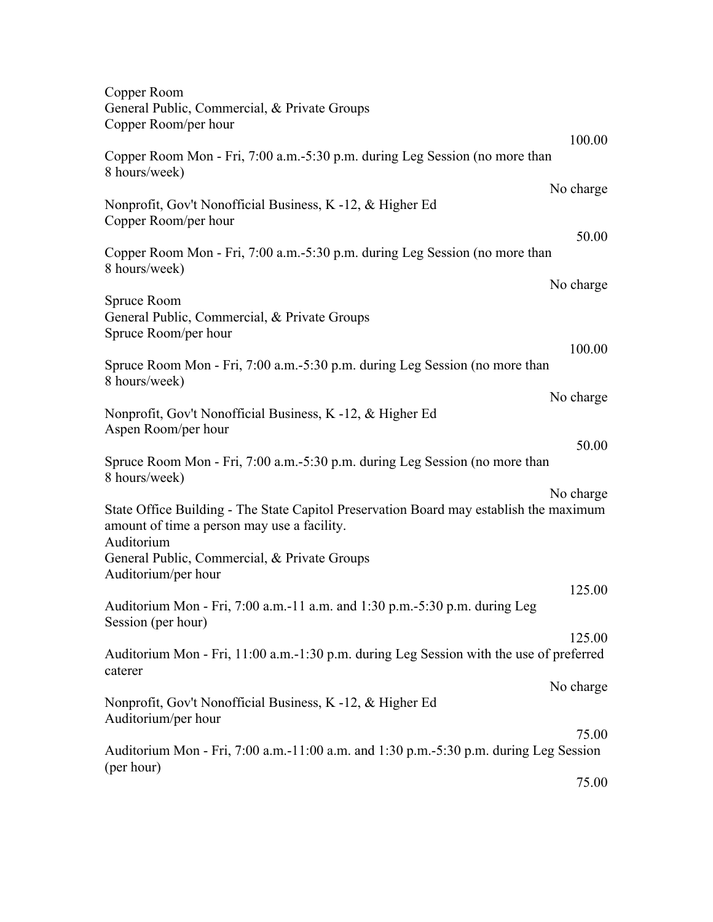| Copper Room<br>General Public, Commercial, & Private Groups<br>Copper Room/per hour                                                                              |
|------------------------------------------------------------------------------------------------------------------------------------------------------------------|
| 100.00<br>Copper Room Mon - Fri, 7:00 a.m.-5:30 p.m. during Leg Session (no more than                                                                            |
| 8 hours/week)                                                                                                                                                    |
| No charge<br>Nonprofit, Gov't Nonofficial Business, K -12, & Higher Ed<br>Copper Room/per hour                                                                   |
| 50.00<br>Copper Room Mon - Fri, 7:00 a.m.-5:30 p.m. during Leg Session (no more than<br>8 hours/week)                                                            |
| No charge<br>Spruce Room                                                                                                                                         |
| General Public, Commercial, & Private Groups<br>Spruce Room/per hour                                                                                             |
| 100.00<br>Spruce Room Mon - Fri, 7:00 a.m. - 5:30 p.m. during Leg Session (no more than<br>8 hours/week)                                                         |
| No charge<br>Nonprofit, Gov't Nonofficial Business, K -12, & Higher Ed<br>Aspen Room/per hour                                                                    |
| 50.00<br>Spruce Room Mon - Fri, 7:00 a.m. -5:30 p.m. during Leg Session (no more than<br>8 hours/week)                                                           |
| No charge<br>State Office Building - The State Capitol Preservation Board may establish the maximum<br>amount of time a person may use a facility.<br>Auditorium |
| General Public, Commercial, & Private Groups<br>Auditorium/per hour                                                                                              |
| 125.00<br>Auditorium Mon - Fri, 7:00 a.m.-11 a.m. and 1:30 p.m.-5:30 p.m. during Leg<br>Session (per hour)                                                       |
| 125.00<br>Auditorium Mon - Fri, 11:00 a.m.-1:30 p.m. during Leg Session with the use of preferred<br>caterer                                                     |
| No charge<br>Nonprofit, Gov't Nonofficial Business, K -12, & Higher Ed<br>Auditorium/per hour                                                                    |
| 75.00<br>Auditorium Mon - Fri, 7:00 a.m. -11:00 a.m. and 1:30 p.m. -5:30 p.m. during Leg Session                                                                 |
| (per hour)<br>75.00                                                                                                                                              |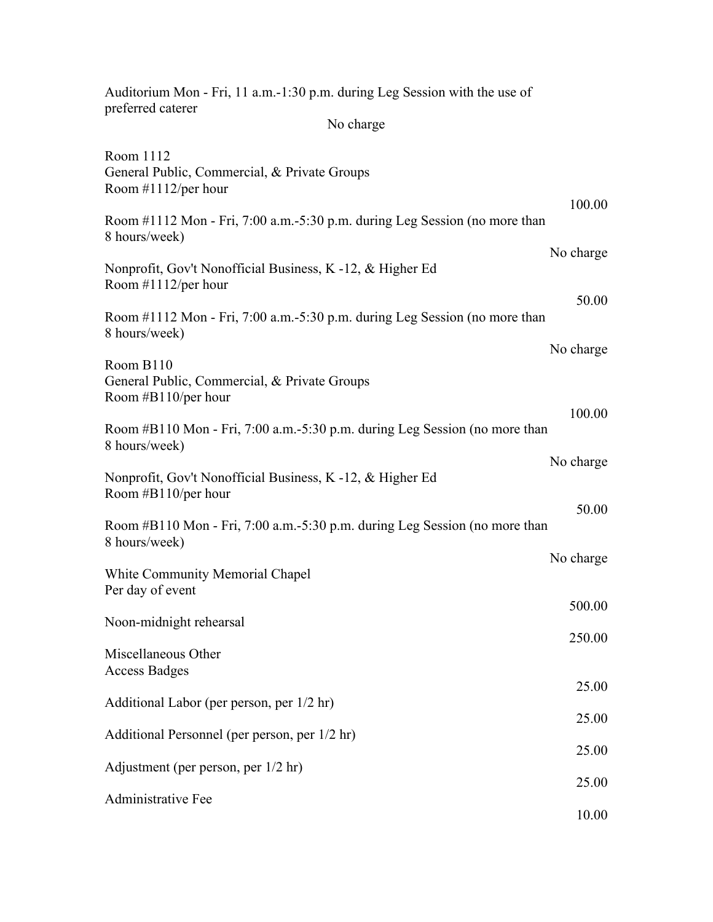| Auditorium Mon - Fri, 11 a.m.-1:30 p.m. during Leg Session with the use of                   |                |
|----------------------------------------------------------------------------------------------|----------------|
| preferred caterer<br>No charge                                                               |                |
| Room 1112<br>General Public, Commercial, & Private Groups<br>Room $#1112$ /per hour          |                |
| Room #1112 Mon - Fri, 7:00 a.m.-5:30 p.m. during Leg Session (no more than<br>8 hours/week)  | 100.00         |
| Nonprofit, Gov't Nonofficial Business, K -12, & Higher Ed<br>Room $#1112$ /per hour          | No charge      |
| Room #1112 Mon - Fri, 7:00 a.m.-5:30 p.m. during Leg Session (no more than<br>8 hours/week)  | 50.00          |
| Room B110<br>General Public, Commercial, & Private Groups<br>Room $#B110/per$ hour           | No charge      |
| Room #B110 Mon - Fri, 7:00 a.m. -5:30 p.m. during Leg Session (no more than<br>8 hours/week) | 100.00         |
| Nonprofit, Gov't Nonofficial Business, K -12, & Higher Ed<br>Room #B110/per hour             | No charge      |
| Room #B110 Mon - Fri, 7:00 a.m. -5:30 p.m. during Leg Session (no more than<br>8 hours/week) | 50.00          |
| <b>White Community Memorial Chapel</b><br>Per day of event                                   | No charge      |
| Noon-midnight rehearsal                                                                      | 500.00         |
| Miscellaneous Other<br><b>Access Badges</b>                                                  | 250.00         |
| Additional Labor (per person, per 1/2 hr)                                                    | 25.00          |
| Additional Personnel (per person, per 1/2 hr)                                                | 25.00          |
| Adjustment (per person, per 1/2 hr)                                                          | 25.00          |
| Administrative Fee                                                                           | 25.00<br>10.00 |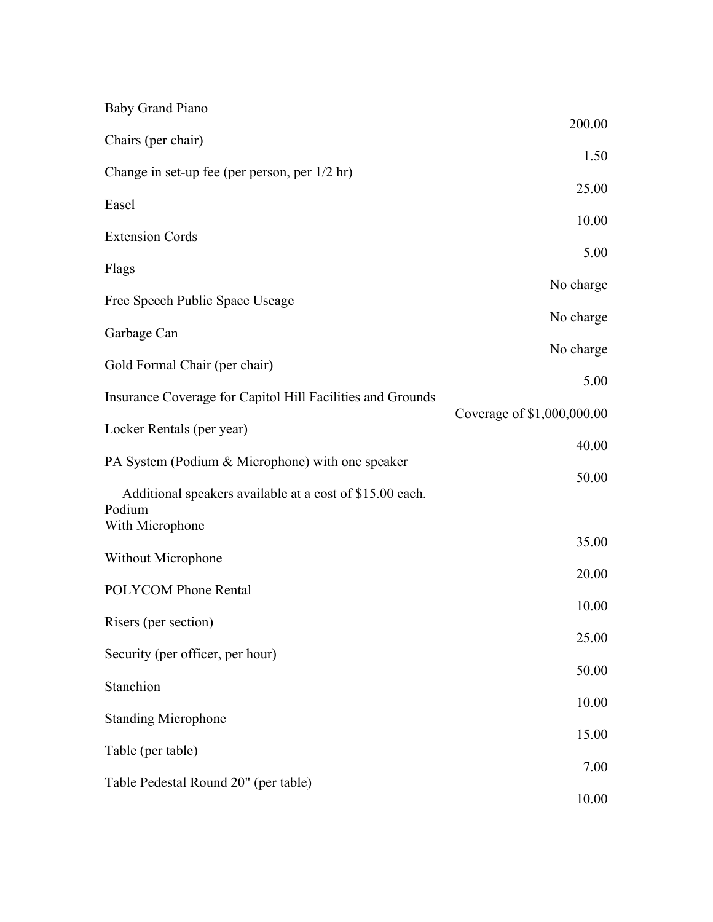| <b>Baby Grand Piano</b>                                    |                            |
|------------------------------------------------------------|----------------------------|
| Chairs (per chair)                                         | 200.00                     |
| Change in set-up fee (per person, per 1/2 hr)              | 1.50                       |
| Easel                                                      | 25.00                      |
| <b>Extension Cords</b>                                     | 10.00                      |
| Flags                                                      | 5.00                       |
| Free Speech Public Space Useage                            | No charge                  |
| Garbage Can                                                | No charge                  |
| Gold Formal Chair (per chair)                              | No charge                  |
| Insurance Coverage for Capitol Hill Facilities and Grounds | 5.00                       |
| Locker Rentals (per year)                                  | Coverage of \$1,000,000.00 |
| PA System (Podium & Microphone) with one speaker           | 40.00                      |
| Additional speakers available at a cost of \$15.00 each.   | 50.00                      |
| Podium<br>With Microphone                                  |                            |
| Without Microphone                                         | 35.00                      |
| <b>POLYCOM Phone Rental</b>                                | 20.00                      |
| Risers (per section)                                       | 10.00                      |
| Security (per officer, per hour)                           | 25.00                      |
| Stanchion                                                  | 50.00                      |
| <b>Standing Microphone</b>                                 | 10.00                      |
| Table (per table)                                          | 15.00                      |
| Table Pedestal Round 20" (per table)                       | 7.00                       |
|                                                            | 10.00                      |